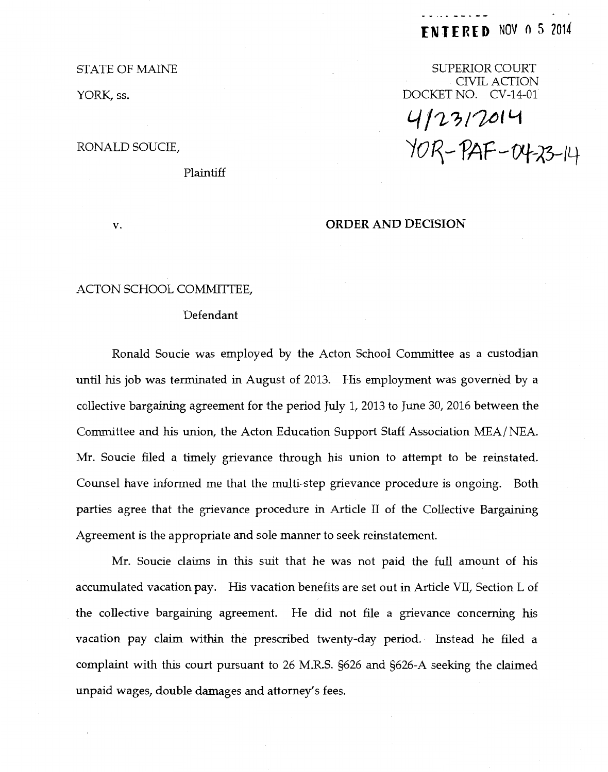# **(NT IRE D** NOV 0 5 <sup>2014</sup>

SUPERIOR COURT CIVIL ACTION DOCKET NO. CV-14-01

 $9/12/10$ *'ioq-* fAF-fJt-~14

#### ORDER AND DECISION

### ACTON SCHOOL COMMITTEE,

#### Defendant

Ronald Soucie was employed by the Acton School Committee as a custodian until his job was terminated in August of 2013. His employment was governed by a collective bargaining agreement for the period July 1, 2013 to June 30, 2016 between the Committee and his union, the Acton Education Support Staff Association MEA/ NEA. Mr. Soucie filed a timely grievance through his union to attempt to be reinstated. Counsel have informed me that the multi-step grievance procedure is ongoing. Both parties agree that the grievance procedure in Article II of the Collective Bargaining Agreement is the appropriate and sole manner to seek reinstatement.

Mr. Soucie claims in this suit that he was not paid the full amount of his accumulated vacation pay. His vacation benefits are set out in Article VII, Section L of the collective bargaining agreement. He did not file a grievance concerning his vacation pay claim within the prescribed twenty-day period. Instead he filed a complaint with this court pursuant to 26 M.R.S. §626 and §626-A seeking the claimed unpaid wages, double damages and attorney's fees.

STATE OF MAINE

YORK, ss.

## RONALD SOUCIE,

v.

Plaintiff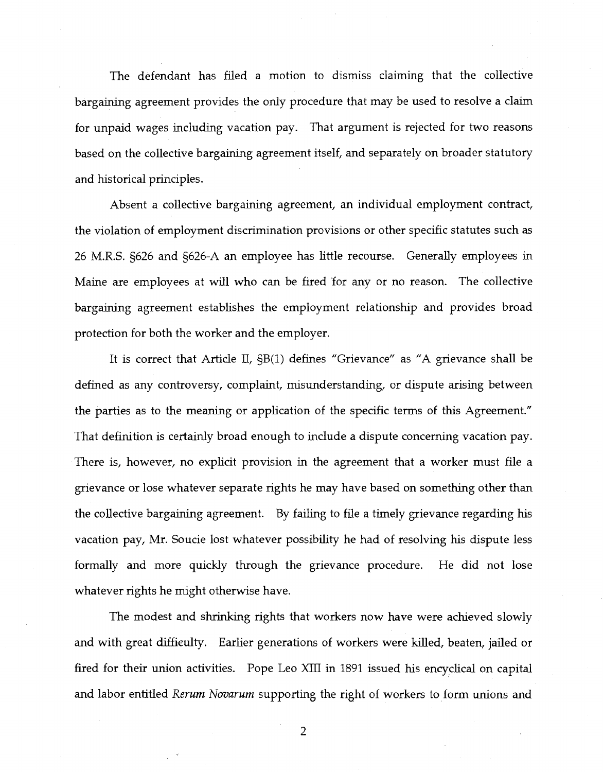The defendant has filed a motion to dismiss claiming that the collective bargaining agreement provides the only procedure that may be used to resolve a claim for unpaid wages including vacation pay. That argument is rejected for two reasons based on the collective bargaining agreement itself, and separately on broader statutory and historical principles.

Absent a collective bargaining agreement, an individual employment contract, the violation of employment discrimination provisions or other specific statutes such as 26 M.R.S. §626 and §626-A an employee has little recourse. Generally employees in Maine are employees at will who can be fired for any or no reason. The collective bargaining agreement establishes the employment relationship and provides broad protection for both the worker and the employer.

It is correct that Article II, SB(1) defines "Grievance" as "A grievance shall be defined as any controversy, complaint, misunderstanding, or dispute arising between the parties as to the meaning or application of the specific terms of this Agreement." That definition is certainly broad enough to include a dispute concerning vacation pay. There is, however, no explicit provision in the agreement that a worker must file a grievance or lose whatever separate rights he may have based on something other than the collective bargaining agreement. By failing to file a timely grievance regarding his vacation pay, Mr. Soucie lost whatever possibility he had of resolving his dispute less formally and more quickly through the grievance procedure. He did not lose whatever rights he might otherwise have.

The modest and shrinking rights that workers now have were achieved slowly and with great diffieulty. Earlier generations of workers were killed, beaten, jailed or fired for their union activities. Pope Leo XIII in 1891 issued his encyclical on capital and labor entitled *Rerum Novarum* supporting the right of workers to form unions and

2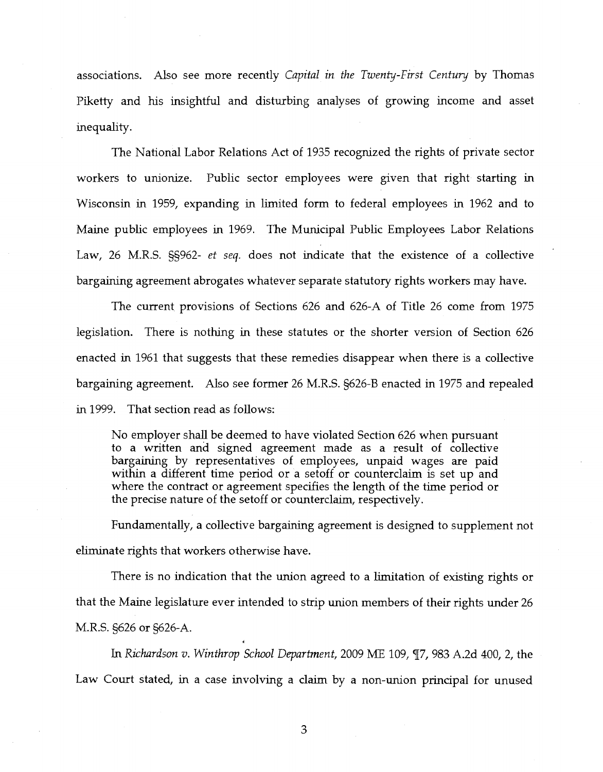associations. Also see more recently *Capital in the Twenty-First Century* by Thomas Piketty and his insightful and disturbing analyses of growing income and asset inequality.

The National Labor Relations Act of 1935 recognized the rights of private sector workers to unionize. Public sector employees were given that right starting in Wisconsin in 1959, expanding in limited form to federal employees in 1962 and to Maine public employees in 1969. The Municipal Public Employees Labor Relations Law, 26 M.R.S. §§962- *et seq.* does not indicate that the existence of a collective bargaining agreement abrogates whatever separate statutory rights workers may have.

The current provisions of Sections 626 and 626-A of Title 26 come from 1975 legislation. There is nothing in these statutes or the shorter version of Section 626 enacted in 1961 that suggests that these remedies disappear when there is a collective bargaining agreement. Also see former 26 M.R.S. §626-B enacted in 1975 and repealed in 1999. That section read as follows:

No employer shall be deemed to have violated Section 626 when pursuant to a written and signed agreement made as a result of collective bargaining by representatives of employees, unpaid wages are paid within a different time period or a setoff or counterclaim is set up and where the contract or agreement specifies the length of the time period or the precise nature of the setoff or counterclaim, respectively.

Fundamentally, a collective bargaining agreement is designed to supplement not eliminate rights that workers otherwise have.

There is no indication that the union agreed to a limitation of existing rights or that the Maine legislature ever intended to strip union members of their rights under 26 M.R.S. §626 or §626-A.

In *Richardson v. Winthrop School Department,* 2009 ME 109, *<][7,* 983 A.2d 400, 2, the Law Court stated, in a case involving a claim by a non-union principal for unused

3